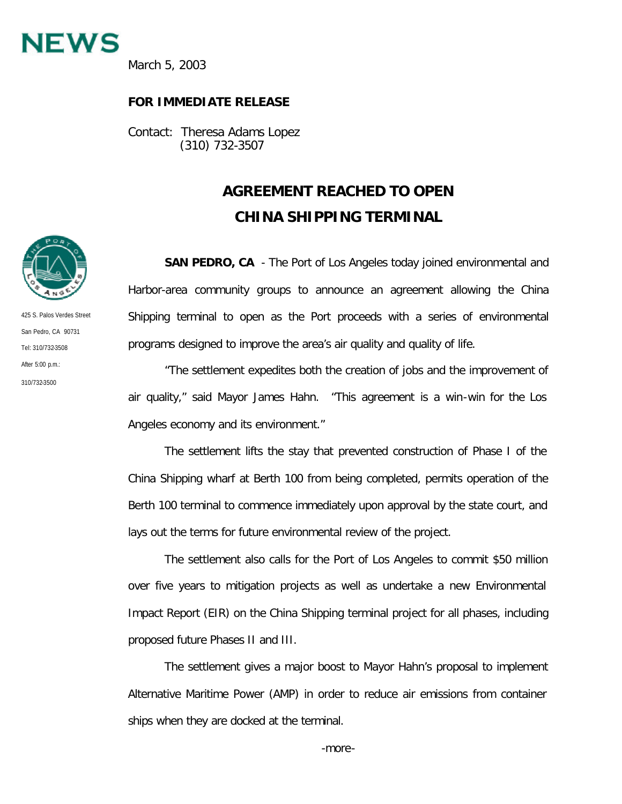

March 5, 2003

## **FOR IMMEDIATE RELEASE**

Contact: Theresa Adams Lopez (310) 732-3507

## **AGREEMENT REACHED TO OPEN CHINA SHIPPING TERMINAL**

**SAN PEDRO, CA** - The Port of Los Angeles today joined environmental and Harbor-area community groups to announce an agreement allowing the China Shipping terminal to open as the Port proceeds with a series of environmental programs designed to improve the area's air quality and quality of life.

"The settlement expedites both the creation of jobs and the improvement of air quality," said Mayor James Hahn. "This agreement is a win-win for the Los Angeles economy and its environment."

The settlement lifts the stay that prevented construction of Phase I of the China Shipping wharf at Berth 100 from being completed, permits operation of the Berth 100 terminal to commence immediately upon approval by the state court, and lays out the terms for future environmental review of the project.

The settlement also calls for the Port of Los Angeles to commit \$50 million over five years to mitigation projects as well as undertake a new Environmental Impact Report (EIR) on the China Shipping terminal project for all phases, including proposed future Phases II and III.

The settlement gives a major boost to Mayor Hahn's proposal to implement Alternative Maritime Power (AMP) in order to reduce air emissions from container ships when they are docked at the terminal.



425 S. Palos Verdes Street San Pedro, CA 90731 Tel: 310/732-3508 After 5:00 p.m.: 310/732-3500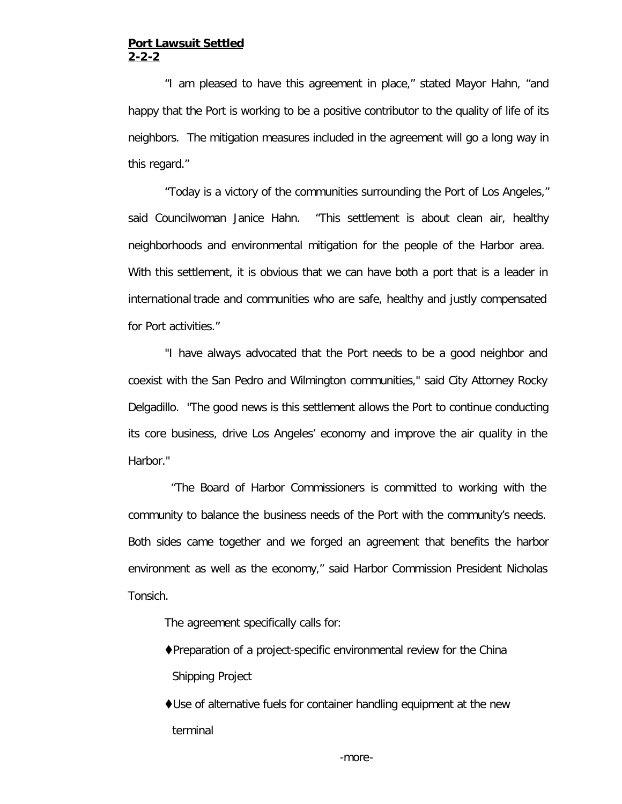## **Port Lawsuit Settled 2-2-2**

"I am pleased to have this agreement in place," stated Mayor Hahn, "and happy that the Port is working to be a positive contributor to the quality of life of its neighbors. The mitigation measures included in the agreement will go a long way in this regard."

"Today is a victory of the communities surrounding the Port of Los Angeles," said Councilwoman Janice Hahn. "This settlement is about clean air, healthy neighborhoods and environmental mitigation for the people of the Harbor area. With this settlement, it is obvious that we can have both a port that is a leader in international trade and communities who are safe, healthy and justly compensated for Port activities."

"I have always advocated that the Port needs to be a good neighbor and coexist with the San Pedro and Wilmington communities," said City Attorney Rocky Delgadillo. "The good news is this settlement allows the Port to continue conducting its core business, drive Los Angeles' economy and improve the air quality in the Harbor."

 "The Board of Harbor Commissioners is committed to working with the community to balance the business needs of the Port with the community's needs. Both sides came together and we forged an agreement that benefits the harbor environment as well as the economy," said Harbor Commission President Nicholas Tonsich.

The agreement specifically calls for:

- $\blacklozenge$ Preparation of a project-specific environmental review for the China Shipping Project
- $\bigcirc$ Use of alternative fuels for container handling equipment at the new terminal

-more-